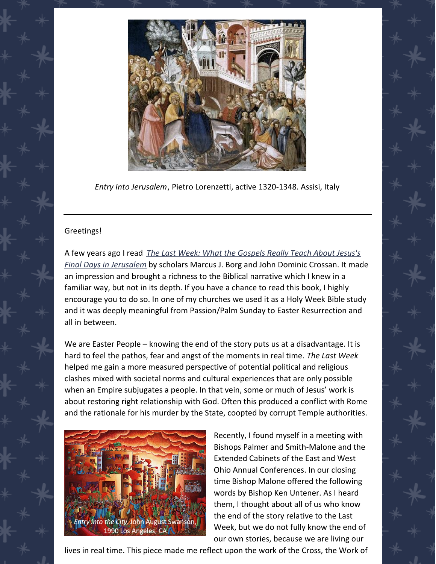

*Entry Into Jerusalem*, Pietro Lorenzetti, active 1320-1348. Assisi, Italy

## Greetings!

A few years ago I read *The Last Week: What the Gospels Really Teach About Jesus's Final Days in [Jerusalem](https://www.amazon.com/Last-Week-Gospels-Really-Jerusalem/dp/0060872608/ref=sr_1_1?crid=139WHSU37YA0M&keywords=book+the+last+week&qid=1649360817&sprefix=book+the+last+week%2Caps%2C106&sr=8-1)* by scholars Marcus J. Borg and John Dominic Crossan. It made an impression and brought a richness to the Biblical narrative which I knew in a familiar way, but not in its depth. If you have a chance to read this book, I highly encourage you to do so. In one of my churches we used it as a Holy Week Bible study and it was deeply meaningful from Passion/Palm Sunday to Easter Resurrection and all in between.

We are Easter People – knowing the end of the story puts us at a disadvantage. It is hard to feel the pathos, fear and angst of the moments in real time. *The Last Week* helped me gain a more measured perspective of potential political and religious clashes mixed with societal norms and cultural experiences that are only possible when an Empire subjugates a people. In that vein, some or much of Jesus' work is about restoring right relationship with God. Often this produced a conflict with Rome and the rationale for his murder by the State, coopted by corrupt Temple authorities.



Recently, I found myself in a meeting with Bishops Palmer and Smith-Malone and the Extended Cabinets of the East and West Ohio Annual Conferences. In our closing time Bishop Malone offered the following words by Bishop Ken Untener. As I heard them, I thought about all of us who know the end of the story relative to the Last Week, but we do not fully know the end of our own stories, because we are living our

lives in real time. This piece made me reflect upon the work of the Cross, the Work of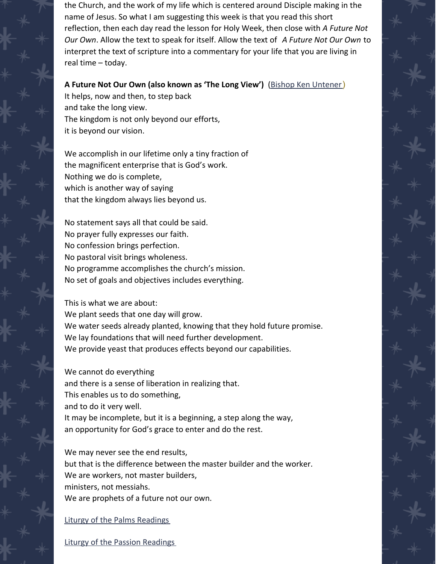the Church, and the work of my life which is centered around Disciple making in the name of Jesus. So what I am suggesting this week is that you read this short reflection, then each day read the lesson for Holy Week, then close with *A Future Not Our Own*. Allow the text to speak for itself. Allow the text of *A Future Not Our Own* to interpret the text of scripture into a commentary for your life that you are living in real time – today.

## **A Future Not Our Own (also known as 'The Long View')** (Bishop Ken [Untener](https://en.wikipedia.org/wiki/Kenneth_Edward_Untener))

It helps, now and then, to step back and take the long view. The kingdom is not only beyond our efforts, it is beyond our vision.

We accomplish in our lifetime only a tiny fraction of the magnificent enterprise that is God's work. Nothing we do is complete, which is another way of saying that the kingdom always lies beyond us.

No statement says all that could be said. No prayer fully expresses our faith. No confession brings perfection. No pastoral visit brings wholeness. No programme accomplishes the church's mission. No set of goals and objectives includes everything.

This is what we are about: We plant seeds that one day will grow. We water seeds already planted, knowing that they hold future promise. We lay foundations that will need further development. We provide yeast that produces effects beyond our capabilities.

We cannot do everything and there is a sense of liberation in realizing that. This enables us to do something, and to do it very well. It may be incomplete, but it is a beginning, a step along the way, an opportunity for God's grace to enter and do the rest.

We may never see the end results, but that is the difference between the master builder and the worker. We are workers, not master builders, ministers, not messiahs. We are prophets of a future not our own.

## Liturgy of the Palms [Readings](https://lectionary.library.vanderbilt.edu/texts.php?id=123)

Liturgy of the Passion [Readings](https://lectionary.library.vanderbilt.edu/texts.php?id=124)